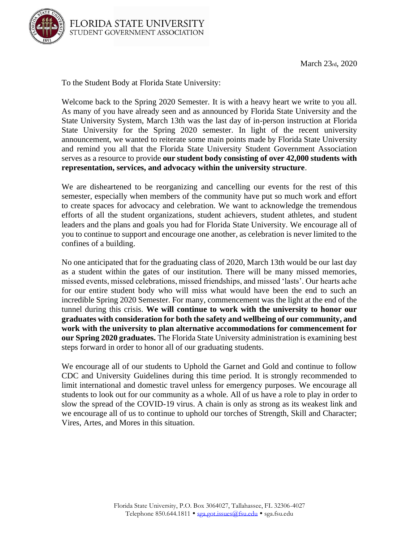

To the Student Body at Florida State University:

Welcome back to the Spring 2020 Semester. It is with a heavy heart we write to you all. As many of you have already seen and as announced by Florida State University and the State University System, March 13th was the last day of in-person instruction at Florida State University for the Spring 2020 semester. In light of the recent university announcement, we wanted to reiterate some main points made by Florida State University and remind you all that the Florida State University Student Government Association serves as a resource to provide **our student body consisting of over 42,000 students with representation, services, and advocacy within the university structure**.

We are disheartened to be reorganizing and cancelling our events for the rest of this semester, especially when members of the community have put so much work and effort to create spaces for advocacy and celebration. We want to acknowledge the tremendous efforts of all the student organizations, student achievers, student athletes, and student leaders and the plans and goals you had for Florida State University. We encourage all of you to continue to support and encourage one another, as celebration is never limited to the confines of a building.

No one anticipated that for the graduating class of 2020, March 13th would be our last day as a student within the gates of our institution. There will be many missed memories, missed events, missed celebrations, missed friendships, and missed 'lasts'. Our hearts ache for our entire student body who will miss what would have been the end to such an incredible Spring 2020 Semester. For many, commencement was the light at the end of the tunnel during this crisis. **We will continue to work with the university to honor our graduates with consideration for both the safety and wellbeing of our community, and work with the university to plan alternative accommodations for commencement for our Spring 2020 graduates.** The Florida State University administration is examining best steps forward in order to honor all of our graduating students.

We encourage all of our students to Uphold the Garnet and Gold and continue to follow CDC and University Guidelines during this time period. It is strongly recommended to limit international and domestic travel unless for emergency purposes. We encourage all students to look out for our community as a whole. All of us have a role to play in order to slow the spread of the COVID-19 virus. A chain is only as strong as its weakest link and we encourage all of us to continue to uphold our torches of Strength, Skill and Character; Vires, Artes, and Mores in this situation.